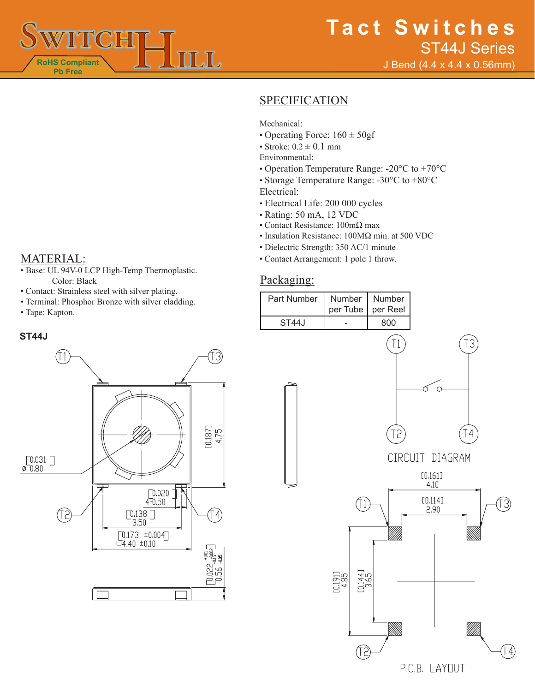

# **SPECIFICATION**

Mechanical:

- Operating Force:  $160 \pm 50$ gf
- Stroke:  $0.2 \pm 0.1$  mm
- Environmental:
- Operation Temperature Range: -20°C to +70°C
- Storage Temperature Range: -30°C to +80°C Electrical:
- Electrical Life: 200 000 cycles
- Rating: 50 mA, 12 VDC
- Contact Resistance: 100mΩ max
- Insulation Resistance: 100MΩ min. at 500 VDC
- Dielectric Strength: 350 AC/1 minute
- MATERIAL: Contact Arrangement: 1 pole 1 throw.

## Packaging:



- Base: UL 94V-0 LCP High-Temp Thermoplastic. Color: Black
- Contact: Strainless steel with silver plating.
- Terminal: Phosphor Bronze with silver cladding.
- Tape: Kapton.

### **ST44J**